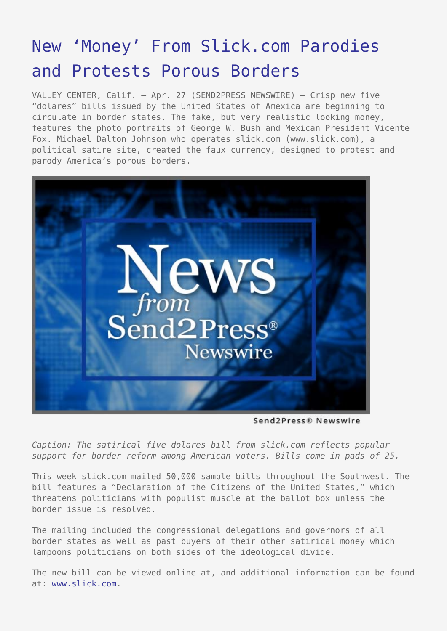## [New 'Money' From Slick.com Parodies](https://www.send2press.com/wire/2005-04-0427-002/) [and Protests Porous Borders](https://www.send2press.com/wire/2005-04-0427-002/)

VALLEY CENTER, Calif. – Apr. 27 (SEND2PRESS NEWSWIRE) — Crisp new five "dolares" bills issued by the United States of Amexica are beginning to circulate in border states. The fake, but very realistic looking money, features the photo portraits of George W. Bush and Mexican President Vicente Fox. Michael Dalton Johnson who operates slick.com (www.slick.com), a political satire site, created the faux currency, designed to protest and parody America's porous borders.



Send2Press® Newswire

*Caption: The satirical five dolares bill from slick.com reflects popular support for border reform among American voters. Bills come in pads of 25.*

This week slick.com mailed 50,000 sample bills throughout the Southwest. The bill features a "Declaration of the Citizens of the United States," which threatens politicians with populist muscle at the ballot box unless the border issue is resolved.

The mailing included the congressional delegations and governors of all border states as well as past buyers of their other satirical money which lampoons politicians on both sides of the ideological divide.

The new bill can be viewed online at, and additional information can be found at: [www.slick.com](http://www.slick.com).